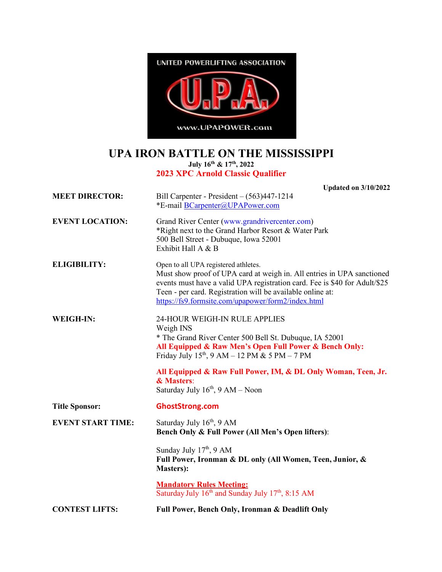

## **UPA IRON BATTLE ON THE MISSISSIPPI July 16th & 17th, 2022**

## **2023 XPC Arnold Classic Qualifier**

|                          | <b>Updated on 3/10/2022</b>                                                                                                                                                                                                                                                                                                                  |
|--------------------------|----------------------------------------------------------------------------------------------------------------------------------------------------------------------------------------------------------------------------------------------------------------------------------------------------------------------------------------------|
| <b>MEET DIRECTOR:</b>    | Bill Carpenter - President $-(563)447-1214$<br>*E-mail BCarpenter@UPAPower.com                                                                                                                                                                                                                                                               |
| <b>EVENT LOCATION:</b>   | Grand River Center (www.grandrivercenter.com)<br>*Right next to the Grand Harbor Resort & Water Park<br>500 Bell Street - Dubuque, Iowa 52001<br>Exhibit Hall A & B                                                                                                                                                                          |
| <b>ELIGIBILITY:</b>      | Open to all UPA registered athletes.<br>Must show proof of UPA card at weigh in. All entries in UPA sanctioned<br>events must have a valid UPA registration card. Fee is \$40 for Adult/\$25<br>Teen - per card. Registration will be available online at:<br>https://fs9.formsite.com/upapower/form2/index.html                             |
| <b>WEIGH-IN:</b>         | 24-HOUR WEIGH-IN RULE APPLIES<br>Weigh INS<br>* The Grand River Center 500 Bell St. Dubuque, IA 52001<br>All Equipped & Raw Men's Open Full Power & Bench Only:<br>Friday July $15^{th}$ , 9 AM – 12 PM & 5 PM – 7 PM<br>All Equipped & Raw Full Power, IM, & DL Only Woman, Teen, Jr.<br>& Masters:<br>Saturday July $16th$ , $9 AM - Noon$ |
| <b>Title Sponsor:</b>    | <b>GhostStrong.com</b>                                                                                                                                                                                                                                                                                                                       |
| <b>EVENT START TIME:</b> | Saturday July 16 <sup>th</sup> , 9 AM<br>Bench Only & Full Power (All Men's Open lifters):                                                                                                                                                                                                                                                   |
|                          | Sunday July $17th$ , 9 AM<br>Full Power, Ironman & DL only (All Women, Teen, Junior, &<br><b>Masters</b> ):                                                                                                                                                                                                                                  |
|                          | <b>Mandatory Rules Meeting:</b><br>Saturday July 16 <sup>th</sup> and Sunday July 17 <sup>th</sup> , 8:15 AM                                                                                                                                                                                                                                 |
| <b>CONTEST LIFTS:</b>    | Full Power, Bench Only, Ironman & Deadlift Only                                                                                                                                                                                                                                                                                              |